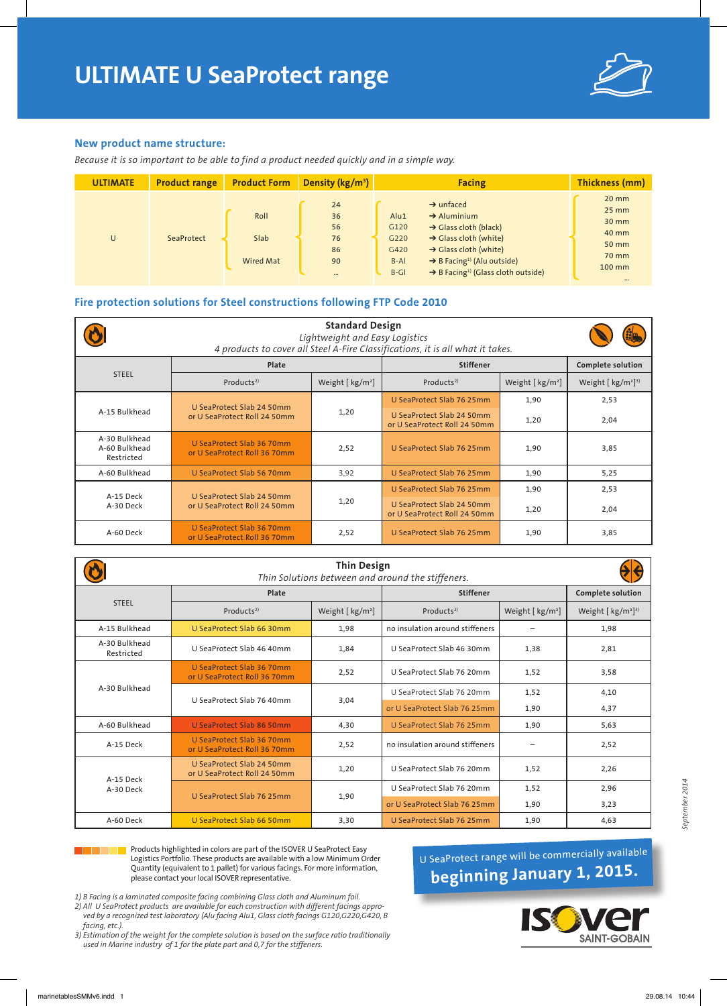

## **New product name structure:**

*Because it is so important to be able to find a product needed quickly and in a simple way.*

| <b>ULTIMATE</b> | <b>Product range</b> | <b>Product Form</b>       | Density ( $\frac{kg}{m^3}$ )                 | <b>Facing</b>                                                                                                                                                                                                                                                                                                                           | Thickness (mm)                                                                         |
|-----------------|----------------------|---------------------------|----------------------------------------------|-----------------------------------------------------------------------------------------------------------------------------------------------------------------------------------------------------------------------------------------------------------------------------------------------------------------------------------------|----------------------------------------------------------------------------------------|
| U               | SeaProtect           | Roll<br>Slab<br>Wired Mat | 24<br>36<br>56<br>76<br>86<br>90<br>$\cdots$ | $\rightarrow$ unfaced<br>Alu1<br>$\rightarrow$ Aluminium<br>$\rightarrow$ Glass cloth (black)<br>G120<br>$\rightarrow$ Glass cloth (white)<br>G220<br>$\rightarrow$ Glass cloth (white)<br>G420<br>$\rightarrow$ B Facing <sup>1)</sup> (Alu outside)<br>$B-AI$<br>$\rightarrow$ B Facing <sup>1)</sup> (Glass cloth outside)<br>$B-GI$ | $20$ mm<br>$25 \, \text{mm}$<br>30 mm<br>40 mm<br>50 mm<br>70 mm<br>100 mm<br>$\cdots$ |

## **Fire protection solutions for Steel constructions following FTP Code 2010**

| <b>Standard Design</b><br>Lightweight and Easy Logistics<br>4 products to cover all Steel A-Fire Classifications, it is all what it takes. |                                                           |                              |                                                           |                          |                                                    |  |
|--------------------------------------------------------------------------------------------------------------------------------------------|-----------------------------------------------------------|------------------------------|-----------------------------------------------------------|--------------------------|----------------------------------------------------|--|
|                                                                                                                                            | Plate                                                     |                              | <b>Stiffener</b>                                          | <b>Complete solution</b> |                                                    |  |
| <b>STEEL</b>                                                                                                                               | Products <sup>2)</sup>                                    | Weight [ kg/m <sup>2</sup> ] | Products <sup>2)</sup>                                    | Weight $[kg/m^2]$        | Weight $\left[\frac{kg}{m^2}\right]$ <sup>3)</sup> |  |
|                                                                                                                                            | U SeaProtect Slab 24 50mm                                 |                              | U SeaProtect Slab 76 25mm                                 | 1,90                     | 2,53                                               |  |
| A-15 Bulkhead                                                                                                                              | or U SeaProtect Roll 24 50mm                              | 1,20                         | U SeaProtect Slab 24 50mm<br>or U SeaProtect Roll 24 50mm | 1,20                     | 2,04                                               |  |
| A-30 Bulkhead<br>A-60 Bulkhead<br>Restricted                                                                                               | U SeaProtect Slab 36 70mm<br>or U SeaProtect Roll 36 70mm | 2,52                         | U SeaProtect Slab 76 25mm                                 | 1,90                     | 3,85                                               |  |
| A-60 Bulkhead                                                                                                                              | U SeaProtect Slab 56 70mm                                 | 3,92                         | U SeaProtect Slab 76 25mm                                 | 1,90                     | 5,25                                               |  |
| A-15 Deck                                                                                                                                  | U SeaProtect Slab 24 50mm                                 |                              | U SeaProtect Slab 76 25mm                                 | 1,90                     | 2,53                                               |  |
| A-30 Deck                                                                                                                                  | or U SeaProtect Roll 24 50mm                              | 1,20                         | U SeaProtect Slab 24 50mm<br>or U SeaProtect Roll 24 50mm | 1,20                     | 2,04                                               |  |
| A-60 Deck                                                                                                                                  | U SeaProtect Slab 36 70mm<br>or U SeaProtect Roll 36 70mm | 2,52                         | U SeaProtect Slab 76 25mm                                 | 1,90                     | 3,85                                               |  |

| <b>Thin Design</b><br>Thin Solutions between and around the stiffeners. |                                                           |                              |                                 |                              |                                                    |  |  |
|-------------------------------------------------------------------------|-----------------------------------------------------------|------------------------------|---------------------------------|------------------------------|----------------------------------------------------|--|--|
|                                                                         | Plate                                                     |                              | <b>Stiffener</b>                | <b>Complete solution</b>     |                                                    |  |  |
| <b>STEEL</b>                                                            | Products <sup>2)</sup>                                    | Weight [ kg/m <sup>2</sup> ] | Products <sup>2)</sup>          | Weight [ kg/m <sup>2</sup> ] | Weight $\left[\frac{kg}{m^2}\right]$ <sup>3)</sup> |  |  |
| A-15 Bulkhead                                                           | U SeaProtect Slab 66 30mm                                 | 1,98                         | no insulation around stiffeners |                              | 1,98                                               |  |  |
| A-30 Bulkhead<br>Restricted                                             | U SeaProtect Slab 46 40mm                                 |                              | U SeaProtect Slab 46 30mm       | 1,38                         | 2,81                                               |  |  |
|                                                                         | U SeaProtect Slab 36 70mm<br>or U SeaProtect Roll 36 70mm | 2,52                         | U SeaProtect Slab 76 20mm       | 1,52                         | 3,58                                               |  |  |
| A-30 Bulkhead                                                           | U SeaProtect Slab 76 40mm                                 | 3,04                         | U SeaProtect Slab 76 20mm       | 1,52                         | 4,10                                               |  |  |
|                                                                         |                                                           |                              | or U SeaProtect Slab 76 25mm    | 1,90                         | 4,37                                               |  |  |
| A-60 Bulkhead                                                           | U SeaProtect Slab 86 50mm                                 | 4,30                         | U SeaProtect Slab 76 25mm       | 1,90                         | 5,63                                               |  |  |
| A-15 Deck                                                               | U SeaProtect Slab 36 70mm<br>or U SeaProtect Roll 36 70mm | 2,52                         | no insulation around stiffeners |                              | 2,52                                               |  |  |
| A-15 Deck<br>A-30 Deck                                                  | U SeaProtect Slab 24 50mm<br>or U SeaProtect Roll 24 50mm | 1,20                         | U SeaProtect Slab 76 20mm       | 1,52                         | 2,26                                               |  |  |
|                                                                         |                                                           |                              | U SeaProtect Slab 76 20mm       | 1,52                         | 2,96                                               |  |  |
|                                                                         | U SeaProtect Slab 76 25mm<br>1,90                         |                              | or U SeaProtect Slab 76 25mm    | 1,90                         | 3,23                                               |  |  |
| A-60 Deck                                                               | U SeaProtect Slab 66 50mm                                 | 3,30                         | U SeaProtect Slab 76 25mm       | 1,90                         | 4,63                                               |  |  |

Products highlighted in colors are part of the ISOVER U SeaProtect Easy Logistics Portfolio. These products are available with a low Minimum Order Quantity (equivalent to 1 pallet) for various facings. For more information, please contact your local ISOVER representative.

*1) B Facing is a laminated composite facing combining Glass cloth and Aluminum foil.*

*2) All U SeaProtect products are available for each construction with different facings approved by a recognized test laboratory (Alu facing Alu1, Glass cloth facings G120,G220,G420, B facing, etc.).*

*3) Estimation of the weight for the complete solution is based on the surface ratio traditionally used in Marine industry of 1 for the plate part and 0,7 for the stiffeners.*

U SeaProtect range will be commercially available **beginning January 1, 2015.**



*September 2014*

September 2014